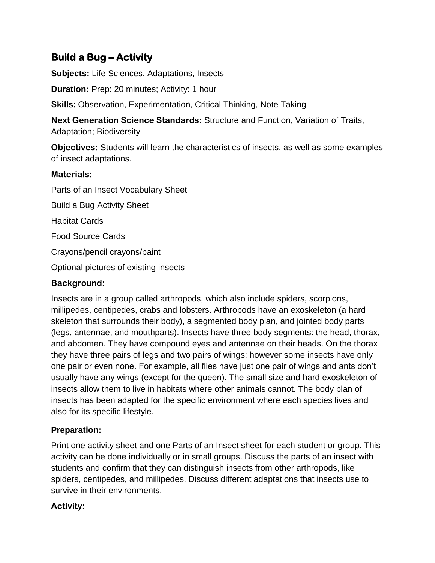# **Build a Bug – Activity**

**Subjects:** Life Sciences, Adaptations, Insects

**Duration:** Prep: 20 minutes; Activity: 1 hour

**Skills:** Observation, Experimentation, Critical Thinking, Note Taking

**Next Generation Science Standards:** Structure and Function, Variation of Traits, Adaptation; Biodiversity

**Objectives:** Students will learn the characteristics of insects, as well as some examples of insect adaptations.

#### **Materials:**

Parts of an Insect Vocabulary Sheet Build a Bug Activity Sheet Habitat Cards Food Source Cards Crayons/pencil crayons/paint Optional pictures of existing insects

### **Background:**

Insects are in a group called arthropods, which also include spiders, scorpions, millipedes, centipedes, crabs and lobsters. Arthropods have an exoskeleton (a hard skeleton that surrounds their body), a segmented body plan, and jointed body parts (legs, antennae, and mouthparts). Insects have three body segments: the head, thorax, and abdomen. They have compound eyes and antennae on their heads. On the thorax they have three pairs of legs and two pairs of wings; however some insects have only one pair or even none. For example, all flies have just one pair of wings and ants don't usually have any wings (except for the queen). The small size and hard exoskeleton of insects allow them to live in habitats where other animals cannot. The body plan of insects has been adapted for the specific environment where each species lives and also for its specific lifestyle.

# **Preparation:**

Print one activity sheet and one Parts of an Insect sheet for each student or group. This activity can be done individually or in small groups. Discuss the parts of an insect with students and confirm that they can distinguish insects from other arthropods, like spiders, centipedes, and millipedes. Discuss different adaptations that insects use to survive in their environments.

### **Activity:**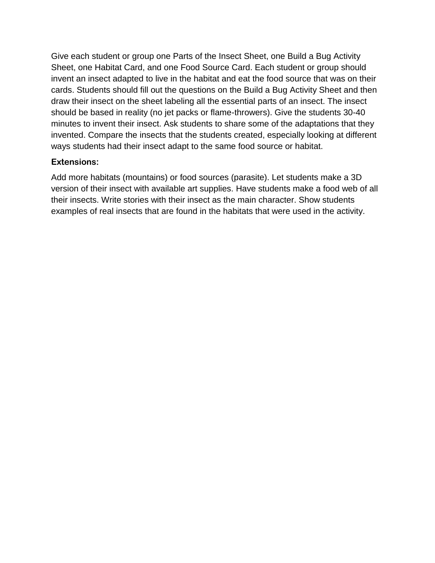Give each student or group one Parts of the Insect Sheet, one Build a Bug Activity Sheet, one Habitat Card, and one Food Source Card. Each student or group should invent an insect adapted to live in the habitat and eat the food source that was on their cards. Students should fill out the questions on the Build a Bug Activity Sheet and then draw their insect on the sheet labeling all the essential parts of an insect. The insect should be based in reality (no jet packs or flame-throwers). Give the students 30-40 minutes to invent their insect. Ask students to share some of the adaptations that they invented. Compare the insects that the students created, especially looking at different ways students had their insect adapt to the same food source or habitat.

### **Extensions:**

Add more habitats (mountains) or food sources (parasite). Let students make a 3D version of their insect with available art supplies. Have students make a food web of all their insects. Write stories with their insect as the main character. Show students examples of real insects that are found in the habitats that were used in the activity.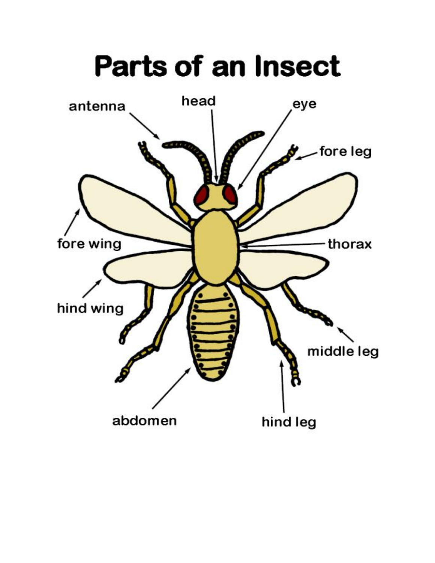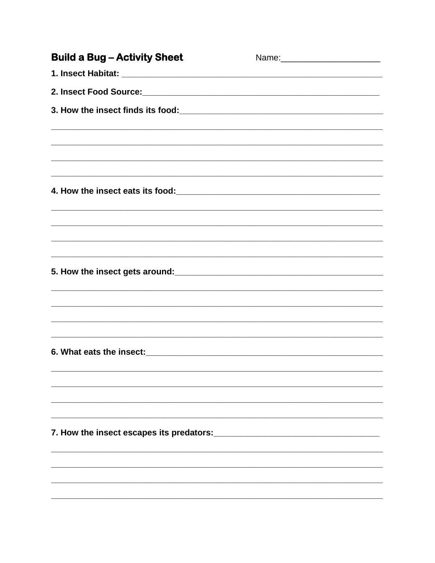| <b>Build a Bug-Activity Sheet</b>                                                 |  |
|-----------------------------------------------------------------------------------|--|
|                                                                                   |  |
|                                                                                   |  |
|                                                                                   |  |
|                                                                                   |  |
|                                                                                   |  |
|                                                                                   |  |
|                                                                                   |  |
|                                                                                   |  |
|                                                                                   |  |
|                                                                                   |  |
| ,我们也不能在这里的时候,我们也不能在这里的时候,我们也不能在这里的时候,我们也不能会在这里的时候,我们也不能会在这里的时候,我们也不能会在这里的时候,我们也不能 |  |
|                                                                                   |  |
|                                                                                   |  |
|                                                                                   |  |
|                                                                                   |  |
|                                                                                   |  |
|                                                                                   |  |
|                                                                                   |  |
|                                                                                   |  |
|                                                                                   |  |
|                                                                                   |  |
|                                                                                   |  |
|                                                                                   |  |
|                                                                                   |  |
|                                                                                   |  |
|                                                                                   |  |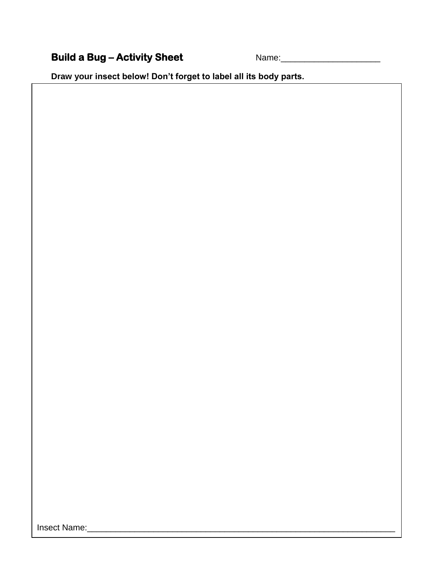# **Build a Bug – Activity Sheet** Name:\_\_\_\_\_\_\_\_\_\_\_\_\_\_\_\_\_\_\_\_\_

**Draw your insect below! Don't forget to label all its body parts.**

Insect Name:\_\_\_\_\_\_\_\_\_\_\_\_\_\_\_\_\_\_\_\_\_\_\_\_\_\_\_\_\_\_\_\_\_\_\_\_\_\_\_\_\_\_\_\_\_\_\_\_\_\_\_\_\_\_\_\_\_\_\_\_\_\_\_\_\_